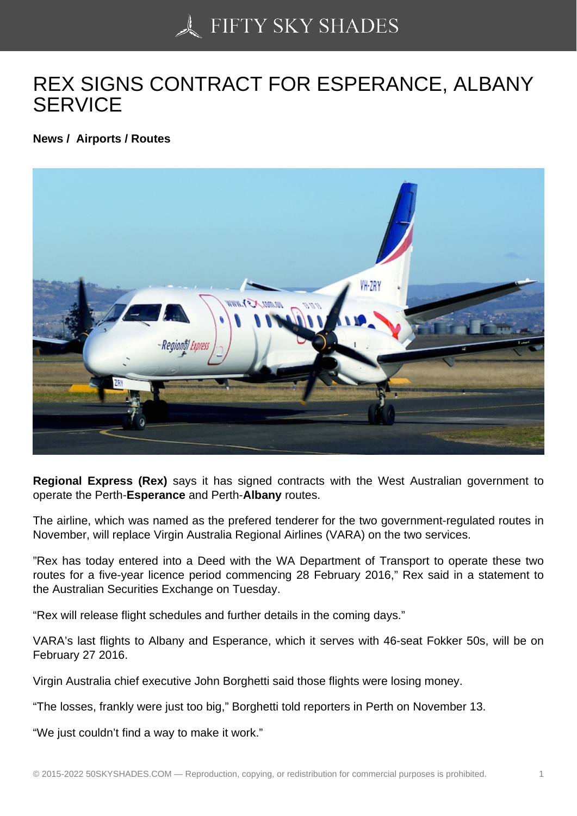## [REX SIGNS CONTRAC](https://50skyshades.com)T FOR ESPERANCE, ALBANY **SERVICE**

News / Airports / Routes

Regional Express (Rex) says it has signed contracts with the West Australian government to operate the Perth-Esperance and Perth-Albany routes.

The airline, which was named as the prefered tenderer for the two government-regulated routes in November, will replace Virgin Australia Regional Airlines (VARA) on the two services.

"Rex has today entered into a Deed with the WA Department of Transport to operate these two routes for a five-year licence period commencing 28 February 2016," Rex said in a statement to the Australian Securities Exchange on Tuesday.

"Rex will release flight schedules and further details in the coming days."

VARA's last flights to Albany and Esperance, which it serves with 46-seat Fokker 50s, will be on February 27 2016.

Virgin Australia chief executive John Borghetti said those flights were losing money.

"The losses, frankly were just too big," Borghetti told reporters in Perth on November 13.

"We just couldn't find a way to make it work."